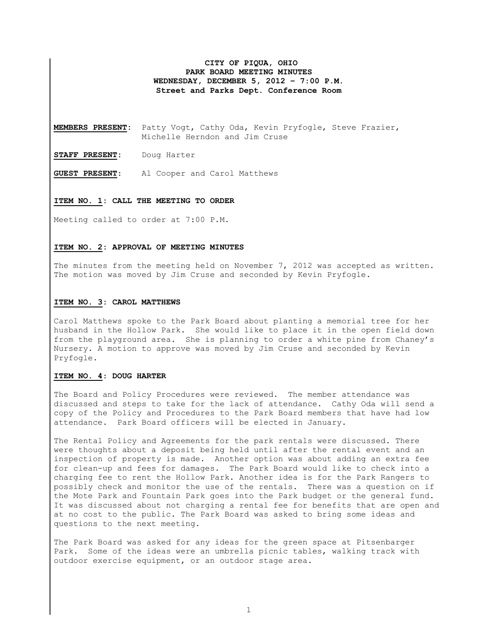## **CITY OF PIQUA, OHIO PARK BOARD MEETING MINUTES WEDNESDAY, DECEMBER 5, 2012 – 7:00 P.M. Street and Parks Dept. Conference Room**

**MEMBERS PRESENT:** Patty Vogt, Cathy Oda, Kevin Pryfogle, Steve Frazier, Michelle Herndon and Jim Cruse

**STAFF PRESENT:** Doug Harter

**GUEST PRESENT**: Al Cooper and Carol Matthews

#### **ITEM NO. 1: CALL THE MEETING TO ORDER**

Meeting called to order at 7:00 P.M.

#### **ITEM NO. 2: APPROVAL OF MEETING MINUTES**

The minutes from the meeting held on November 7, 2012 was accepted as written. The motion was moved by Jim Cruse and seconded by Kevin Pryfogle.

## **ITEM NO. 3: CAROL MATTHEWS**

Carol Matthews spoke to the Park Board about planting a memorial tree for her husband in the Hollow Park. She would like to place it in the open field down from the playground area. She is planning to order a white pine from Chaney's Nursery. A motion to approve was moved by Jim Cruse and seconded by Kevin Pryfogle.

# **ITEM NO. 4**: **DOUG HARTER**

The Board and Policy Procedures were reviewed. The member attendance was discussed and steps to take for the lack of attendance. Cathy Oda will send a copy of the Policy and Procedures to the Park Board members that have had low attendance. Park Board officers will be elected in January.

The Rental Policy and Agreements for the park rentals were discussed. There were thoughts about a deposit being held until after the rental event and an inspection of property is made. Another option was about adding an extra fee for clean-up and fees for damages. The Park Board would like to check into a charging fee to rent the Hollow Park. Another idea is for the Park Rangers to possibly check and monitor the use of the rentals. There was a question on if the Mote Park and Fountain Park goes into the Park budget or the general fund. It was discussed about not charging a rental fee for benefits that are open and at no cost to the public. The Park Board was asked to bring some ideas and questions to the next meeting.

The Park Board was asked for any ideas for the green space at Pitsenbarger Park. Some of the ideas were an umbrella picnic tables, walking track with outdoor exercise equipment, or an outdoor stage area.